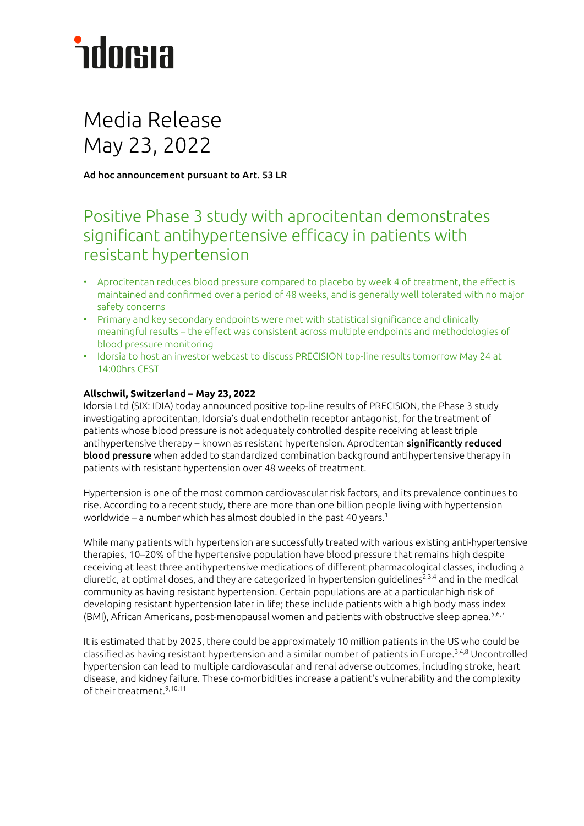## **ndorsia**

### Media Release May 23, 2022

Ad hoc announcement pursuant to Art. 53 LR

### Positive Phase 3 study with aprocitentan demonstrates significant antihypertensive efficacy in patients with resistant hypertension

- Aprocitentan reduces blood pressure compared to placebo by week 4 of treatment, the effect is maintained and confirmed over a period of 48 weeks, and is generally well tolerated with no major safety concerns
- Primary and key secondary endpoints were met with statistical significance and clinically meaningful results – the effect was consistent across multiple endpoints and methodologies of blood pressure monitoring
- Idorsia to host an investor webcast to discuss PRECISION top-line results tomorrow May 24 at 14:00hrs CEST

### **Allschwil, Switzerland – May 23, 2022**

Idorsia Ltd (SIX: IDIA) today announced positive top-line results of PRECISION, the Phase 3 study investigating aprocitentan, Idorsia's dual endothelin receptor antagonist, for the treatment of patients whose blood pressure is not adequately controlled despite receiving at least triple antihypertensive therapy – known as resistant hypertension. Aprocitentan significantly reduced blood pressure when added to standardized combination background antihypertensive therapy in patients with resistant hypertension over 48 weeks of treatment.

Hypertension is one of the most common cardiovascular risk factors, and its prevalence continues to rise. According to a recent study, there are more than one billion people living with hypertension worldwide – a number which has almost doubled in the past 40 years.<sup>1</sup>

While many patients with hypertension are successfully treated with various existing anti-hypertensive therapies, 10–20% of the hypertensive population have blood pressure that remains high despite receiving at least three antihypertensive medications of different pharmacological classes, including a diuretic, at optimal doses, and they are categorized in hypertension guidelines<sup>2,3,4</sup> and in the medical community as having resistant hypertension. Certain populations are at a particular high risk of developing resistant hypertension later in life; these include patients with a high body mass index (BMI), African Americans, post-menopausal women and patients with obstructive sleep apnea.<sup>5,6,7</sup>

It is estimated that by 2025, there could be approximately 10 million patients in the US who could be classified as having resistant hypertension and a similar number of patients in Europe.3,4,8 Uncontrolled hypertension can lead to multiple cardiovascular and renal adverse outcomes, including stroke, heart disease, and kidney failure. These co-morbidities increase a patient's vulnerability and the complexity of their treatment. 9,10,11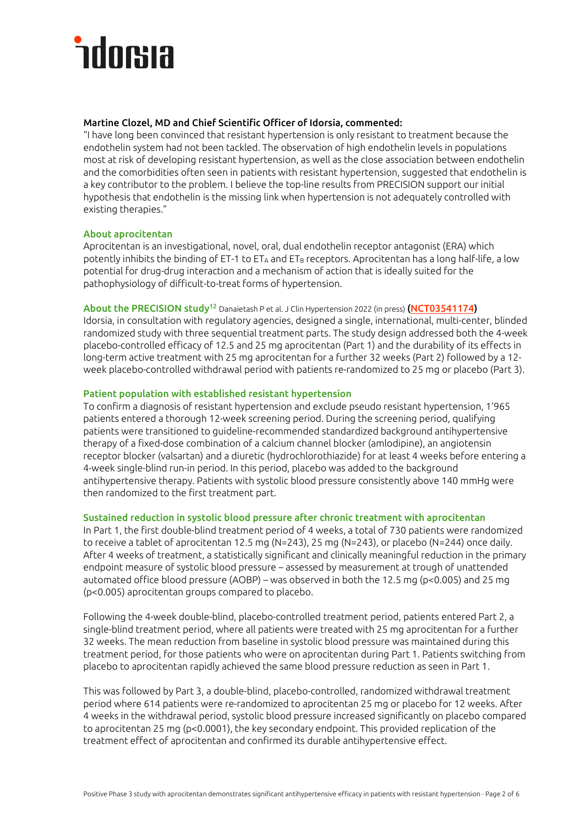# *<u>ndorsia</u>*

### Martine Clozel, MD and Chief Scientific Officer of Idorsia, commented:

"I have long been convinced that resistant hypertension is only resistant to treatment because the endothelin system had not been tackled. The observation of high endothelin levels in populations most at risk of developing resistant hypertension, as well as the close association between endothelin and the comorbidities often seen in patients with resistant hypertension, suggested that endothelin is a key contributor to the problem. I believe the top-line results from PRECISION support our initial hypothesis that endothelin is the missing link when hypertension is not adequately controlled with existing therapies."

### About aprocitentan

Aprocitentan is an investigational, novel, oral, dual endothelin receptor antagonist (ERA) which potently inhibits the binding of ET-1 to ET<sub>A</sub> and ET<sub>B</sub> receptors. Aprocitentan has a long half-life, a low potential for drug-drug interaction and a mechanism of action that is ideally suited for the pathophysiology of difficult-to-treat forms of hypertension.

### About the PRECISION study<sup>12</sup> Danaietash P et al. J Clin Hypertension 2022 (in press) [\(NCT03541174\)](https://clinicaltrials.gov/ct2/show/NCT03541174)

Idorsia, in consultation with regulatory agencies, designed a single, international, multi-center, blinded randomized study with three sequential treatment parts. The study design addressed both the 4-week placebo-controlled efficacy of 12.5 and 25 mg aprocitentan (Part 1) and the durability of its effects in long-term active treatment with 25 mg aprocitentan for a further 32 weeks (Part 2) followed by a 12 week placebo-controlled withdrawal period with patients re-randomized to 25 mg or placebo (Part 3).

### Patient population with established resistant hypertension

To confirm a diagnosis of resistant hypertension and exclude pseudo resistant hypertension, 1'965 patients entered a thorough 12-week screening period. During the screening period, qualifying patients were transitioned to guideline-recommended standardized background antihypertensive therapy of a fixed-dose combination of a calcium channel blocker (amlodipine), an angiotensin receptor blocker (valsartan) and a diuretic (hydrochlorothiazide) for at least 4 weeks before entering a 4-week single-blind run-in period. In this period, placebo was added to the background antihypertensive therapy. Patients with systolic blood pressure consistently above 140 mmHg were then randomized to the first treatment part.

### Sustained reduction in systolic blood pressure after chronic treatment with aprocitentan

In Part 1, the first double-blind treatment period of 4 weeks, a total of 730 patients were randomized to receive a tablet of aprocitentan 12.5 mg (N=243), 25 mg (N=243), or placebo (N=244) once daily. After 4 weeks of treatment, a statistically significant and clinically meaningful reduction in the primary endpoint measure of systolic blood pressure – assessed by measurement at trough of unattended automated office blood pressure (AOBP) – was observed in both the 12.5 mg (p<0.005) and 25 mg (p<0.005) aprocitentan groups compared to placebo.

Following the 4-week double-blind, placebo-controlled treatment period, patients entered Part 2, a single-blind treatment period, where all patients were treated with 25 mg aprocitentan for a further 32 weeks. The mean reduction from baseline in systolic blood pressure was maintained during this treatment period, for those patients who were on aprocitentan during Part 1. Patients switching from placebo to aprocitentan rapidly achieved the same blood pressure reduction as seen in Part 1.

This was followed by Part 3, a double-blind, placebo-controlled, randomized withdrawal treatment period where 614 patients were re-randomized to aprocitentan 25 mg or placebo for 12 weeks. After 4 weeks in the withdrawal period, systolic blood pressure increased significantly on placebo compared to aprocitentan 25 mg (p<0.0001), the key secondary endpoint. This provided replication of the treatment effect of aprocitentan and confirmed its durable antihypertensive effect.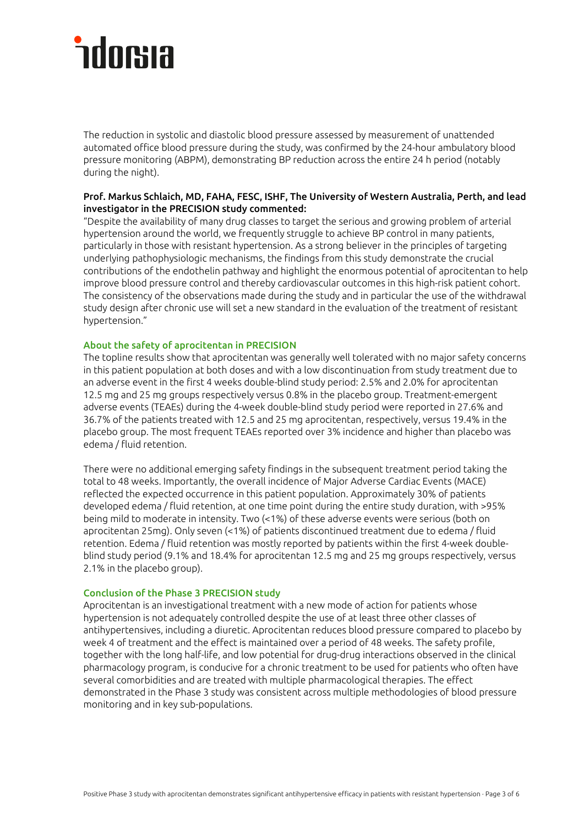### *<u>ndorsia</u>*

The reduction in systolic and diastolic blood pressure assessed by measurement of unattended automated office blood pressure during the study, was confirmed by the 24-hour ambulatory blood pressure monitoring (ABPM), demonstrating BP reduction across the entire 24 h period (notably during the night).

### Prof. Markus Schlaich, MD, FAHA, FESC, ISHF, The University of Western Australia, Perth, and lead investigator in the PRECISION study commented:

"Despite the availability of many drug classes to target the serious and growing problem of arterial hypertension around the world, we frequently struggle to achieve BP control in many patients, particularly in those with resistant hypertension. As a strong believer in the principles of targeting underlying pathophysiologic mechanisms, the findings from this study demonstrate the crucial contributions of the endothelin pathway and highlight the enormous potential of aprocitentan to help improve blood pressure control and thereby cardiovascular outcomes in this high-risk patient cohort. The consistency of the observations made during the study and in particular the use of the withdrawal study design after chronic use will set a new standard in the evaluation of the treatment of resistant hypertension."

### About the safety of aprocitentan in PRECISION

The topline results show that aprocitentan was generally well tolerated with no major safety concerns in this patient population at both doses and with a low discontinuation from study treatment due to an adverse event in the first 4 weeks double-blind study period: 2.5% and 2.0% for aprocitentan 12.5 mg and 25 mg groups respectively versus 0.8% in the placebo group. Treatment-emergent adverse events (TEAEs) during the 4-week double-blind study period were reported in 27.6% and 36.7% of the patients treated with 12.5 and 25 mg aprocitentan, respectively, versus 19.4% in the placebo group. The most frequent TEAEs reported over 3% incidence and higher than placebo was edema / fluid retention.

There were no additional emerging safety findings in the subsequent treatment period taking the total to 48 weeks. Importantly, the overall incidence of Major Adverse Cardiac Events (MACE) reflected the expected occurrence in this patient population. Approximately 30% of patients developed edema / fluid retention, at one time point during the entire study duration, with >95% being mild to moderate in intensity. Two (<1%) of these adverse events were serious (both on aprocitentan 25mg). Only seven (<1%) of patients discontinued treatment due to edema / fluid retention. Edema / fluid retention was mostly reported by patients within the first 4-week doubleblind study period (9.1% and 18.4% for aprocitentan 12.5 mg and 25 mg groups respectively, versus 2.1% in the placebo group).

### Conclusion of the Phase 3 PRECISION study

Aprocitentan is an investigational treatment with a new mode of action for patients whose hypertension is not adequately controlled despite the use of at least three other classes of antihypertensives, including a diuretic. Aprocitentan reduces blood pressure compared to placebo by week 4 of treatment and the effect is maintained over a period of 48 weeks. The safety profile, together with the long half-life, and low potential for drug-drug interactions observed in the clinical pharmacology program, is conducive for a chronic treatment to be used for patients who often have several comorbidities and are treated with multiple pharmacological therapies. The effect demonstrated in the Phase 3 study was consistent across multiple methodologies of blood pressure monitoring and in key sub-populations.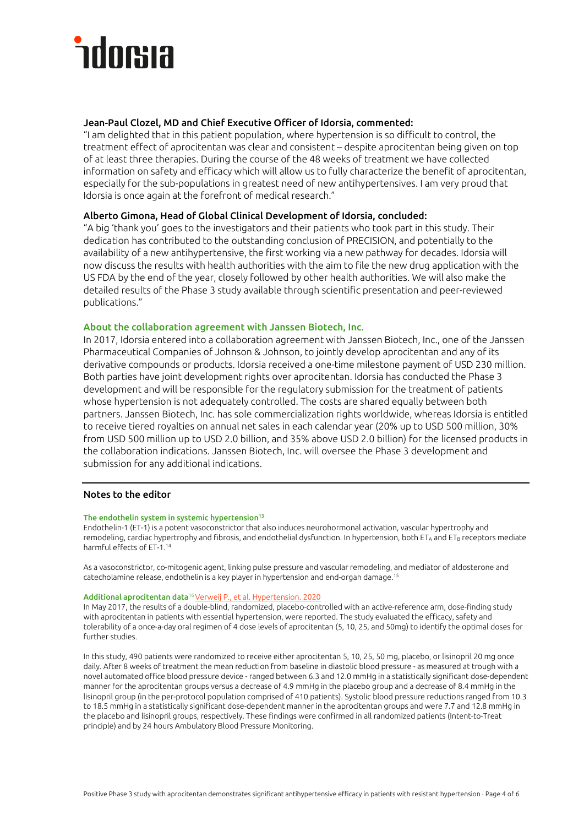## ndorsıa

### Jean-Paul Clozel, MD and Chief Executive Officer of Idorsia, commented:

"I am delighted that in this patient population, where hypertension is so difficult to control, the treatment effect of aprocitentan was clear and consistent – despite aprocitentan being given on top of at least three therapies. During the course of the 48 weeks of treatment we have collected information on safety and efficacy which will allow us to fully characterize the benefit of aprocitentan, especially for the sub-populations in greatest need of new antihypertensives. I am very proud that Idorsia is once again at the forefront of medical research."

### Alberto Gimona, Head of Global Clinical Development of Idorsia, concluded:

"A big 'thank you' goes to the investigators and their patients who took part in this study. Their dedication has contributed to the outstanding conclusion of PRECISION, and potentially to the availability of a new antihypertensive, the first working via a new pathway for decades. Idorsia will now discuss the results with health authorities with the aim to file the new drug application with the US FDA by the end of the year, closely followed by other health authorities. We will also make the detailed results of the Phase 3 study available through scientific presentation and peer-reviewed publications."

### About the collaboration agreement with Janssen Biotech, Inc.

In 2017, Idorsia entered into a collaboration agreement with Janssen Biotech, Inc., one of the Janssen Pharmaceutical Companies of Johnson & Johnson, to jointly develop aprocitentan and any of its derivative compounds or products. Idorsia received a one-time milestone payment of USD 230 million. Both parties have joint development rights over aprocitentan. Idorsia has conducted the Phase 3 development and will be responsible for the regulatory submission for the treatment of patients whose hypertension is not adequately controlled. The costs are shared equally between both partners. Janssen Biotech, Inc. has sole commercialization rights worldwide, whereas Idorsia is entitled to receive tiered royalties on annual net sales in each calendar year (20% up to USD 500 million, 30% from USD 500 million up to USD 2.0 billion, and 35% above USD 2.0 billion) for the licensed products in the collaboration indications. Janssen Biotech, Inc. will oversee the Phase 3 development and submission for any additional indications.

### Notes to the editor

### The endothelin system in systemic hypertension<sup>13</sup>

Endothelin-1 (ET-1) is a potent vasoconstrictor that also induces neurohormonal activation, vascular hypertrophy and remodeling, cardiac hypertrophy and fibrosis, and endothelial dysfunction. In hypertension, both ETA and ETB receptors mediate harmful effects of ET-1.14

As a vasoconstrictor, co-mitogenic agent, linking pulse pressure and vascular remodeling, and mediator of aldosterone and catecholamine release, endothelin is a key player in hypertension and end-organ damage. 15

### Additional aprocitentan data<sup>16</sup> Verweij P., et al. Hypertension. 2020

In May 2017, the results of a double-blind, randomized, placebo-controlled with an active-reference arm, dose-finding study with aprocitentan in patients with essential hypertension, were reported. The study evaluated the efficacy, safety and tolerability of a once-a-day oral regimen of 4 dose levels of aprocitentan (5, 10, 25, and 50mg) to identify the optimal doses for further studies.

In this study, 490 patients were randomized to receive either aprocitentan 5, 10, 25, 50 mg, placebo, or lisinopril 20 mg once daily. After 8 weeks of treatment the mean reduction from baseline in diastolic blood pressure - as measured at trough with a novel automated office blood pressure device - ranged between 6.3 and 12.0 mmHg in a statistically significant dose-dependent manner for the aprocitentan groups versus a decrease of 4.9 mmHg in the placebo group and a decrease of 8.4 mmHg in the lisinopril group (in the per-protocol population comprised of 410 patients). Systolic blood pressure reductions ranged from 10.3 to 18.5 mmHg in a statistically significant dose-dependent manner in the aprocitentan groups and were 7.7 and 12.8 mmHg in the placebo and lisinopril groups, respectively. These findings were confirmed in all randomized patients (Intent-to-Treat principle) and by 24 hours Ambulatory Blood Pressure Monitoring.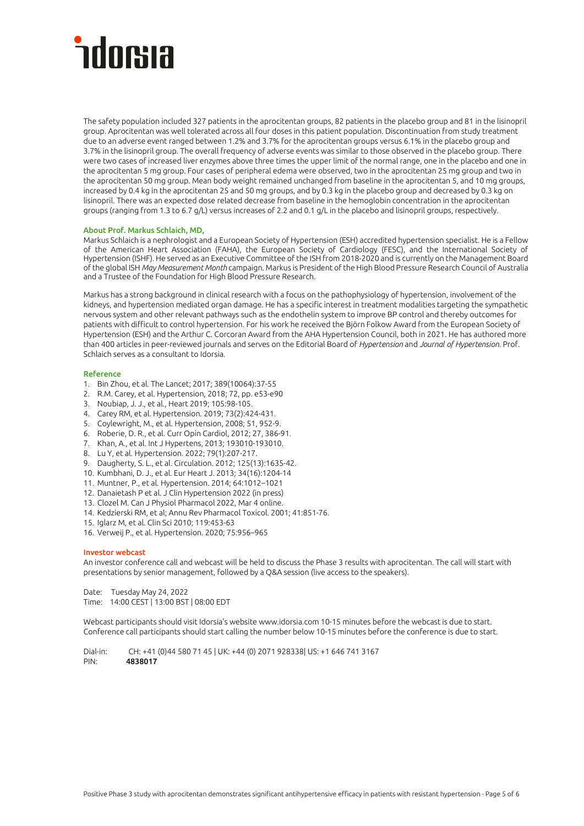### **ndorsia**

The safety population included 327 patients in the aprocitentan groups, 82 patients in the placebo group and 81 in the lisinopril group. Aprocitentan was well tolerated across all four doses in this patient population. Discontinuation from study treatment due to an adverse event ranged between 1.2% and 3.7% for the aprocitentan groups versus 6.1% in the placebo group and 3.7% in the lisinopril group. The overall frequency of adverse events was similar to those observed in the placebo group. There were two cases of increased liver enzymes above three times the upper limit of the normal range, one in the placebo and one in the aprocitentan 5 mg group. Four cases of peripheral edema were observed, two in the aprocitentan 25 mg group and two in the aprocitentan 50 mg group. Mean body weight remained unchanged from baseline in the aprocitentan 5, and 10 mg groups, increased by 0.4 kg in the aprocitentan 25 and 50 mg groups, and by 0.3 kg in the placebo group and decreased by 0.3 kg on lisinopril. There was an expected dose related decrease from baseline in the hemoglobin concentration in the aprocitentan groups (ranging from 1.3 to 6.7 g/L) versus increases of 2.2 and 0.1 g/L in the placebo and lisinopril groups, respectively.

### About Prof. Markus Schlaich, MD,

Markus Schlaich is a nephrologist and a European Society of Hypertension (ESH) accredited hypertension specialist. He is a Fellow of the American Heart Association (FAHA), the European Society of Cardiology (FESC), and the International Society of Hypertension (ISHF). He served as an Executive Committee of the ISH from 2018-2020 and is currently on the Management Board of the global ISH *May Measurement Month* campaign. Markus is President of the High Blood Pressure Research Council of Australia and a Trustee of the Foundation for High Blood Pressure Research.

Markus has a strong background in clinical research with a focus on the pathophysiology of hypertension, involvement of the kidneys, and hypertension mediated organ damage. He has a specific interest in treatment modalities targeting the sympathetic nervous system and other relevant pathways such as the endothelin system to improve BP control and thereby outcomes for patients with difficult to control hypertension. For his work he received the Björn Folkow Award from the European Society of Hypertension (ESH) and the Arthur C. Corcoran Award from the AHA Hypertension Council, both in 2021. He has authored more than 400 articles in peer-reviewed journals and serves on the Editorial Board of *Hypertension* and *Journal of Hypertension*. Prof. Schlaich serves as a consultant to Idorsia.

#### **Peference**

- 1. Bin Zhou, et al. The Lancet; 2017; 389(10064):37-55
- 2. R.M. Carey, et al. Hypertension, 2018; 72, pp. e53-e90
- 3. Noubiap, J. J., et al., Heart 2019; 105:98-105.
- 4. Carey RM, et al. Hypertension. 2019; 73(2):424-431.
- 5. Coylewright, M., et al. Hypertension, 2008; 51, 952-9.
- 6. Roberie, D. R., et al. Curr Opin Cardiol, 2012; 27, 386-91.
- 7. Khan, A., et al. Int J Hypertens, 2013; 193010-193010.
- 8. Lu Y, et al. Hypertension. 2022; 79(1):207-217.
- 9. Daugherty, S. L., et al. Circulation. 2012; 125(13):1635-42.
- 10. Kumbhani, D. J., et al. Eur Heart J. 2013; 34(16):1204-14
- 11. Muntner, P., et al. Hypertension. 2014; 64:1012–1021
- 12. Danaietash P et al. J Clin Hypertension 2022 (in press)
- 13. Clozel M. Can J Physiol Pharmacol 2022, Mar 4 online.
- 14. Kedzierski RM, et al; Annu Rev Pharmacol Toxicol. 2001; 41:851-76.
- 15. Iglarz M, et al. Clin Sci 2010; 119:453-63
- 16. [Verweij P., et al. Hypertension. 2020; 75:956–965](https://pubmed.ncbi.nlm.nih.gov/32063059/)

#### Investor webcast

An investor conference call and webcast will be held to discuss the Phase 3 results with aprocitentan. The call will start with presentations by senior management, followed by a Q&A session (live access to the speakers).

Date: Tuesday May 24, 2022 Time: 14:00 CEST | 13:00 BST | 08:00 EDT

Webcast participants should visit Idorsia's website www.idorsia.com 10-15 minutes before the webcast is due to start. Conference call participants should start calling the number below 10-15 minutes before the conference is due to start.

Dial-in: CH: +41 (0)44 580 71 45 | UK: +44 (0) 2071 928338| US: +1 646 741 3167 PIN: 4838017